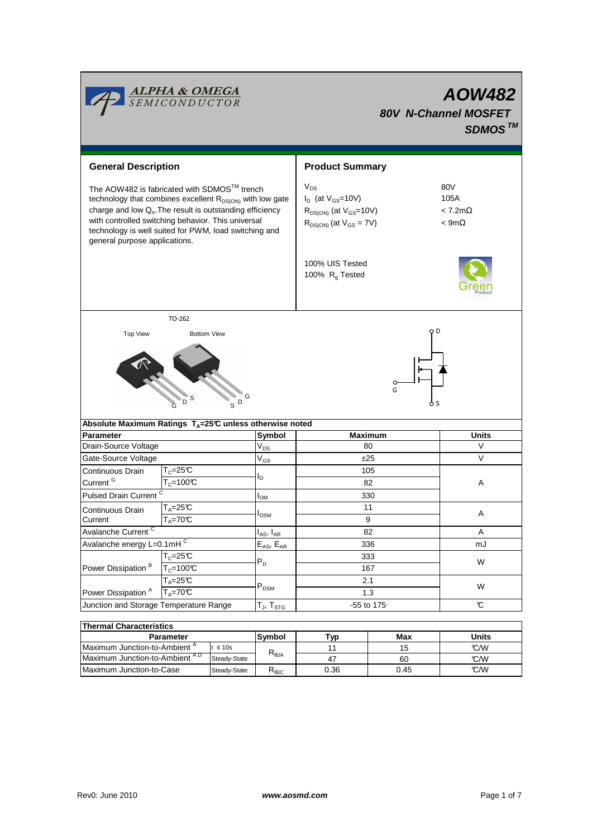|                                                                                                                                                                                                                                                                                                                                       | <b>ALPHA &amp; OMEGA</b><br>SEMICONDUCTOR                           |                                               |                                                                                                             |                                                      | <b>AOW482</b><br><b>80V N-Channel MOSFET</b><br>SDMOS <sup>TM</sup> |  |  |
|---------------------------------------------------------------------------------------------------------------------------------------------------------------------------------------------------------------------------------------------------------------------------------------------------------------------------------------|---------------------------------------------------------------------|-----------------------------------------------|-------------------------------------------------------------------------------------------------------------|------------------------------------------------------|---------------------------------------------------------------------|--|--|
| <b>General Description</b>                                                                                                                                                                                                                                                                                                            |                                                                     |                                               | <b>Product Summary</b>                                                                                      |                                                      |                                                                     |  |  |
| The AOW482 is fabricated with SDMOS™ trench<br>technology that combines excellent R <sub>DS(ON)</sub> with low gate<br>charge and low $Q_{rr}$ . The result is outstanding efficiency<br>with controlled switching behavior. This universal<br>technology is well suited for PWM, load switching and<br>general purpose applications. |                                                                     |                                               | $V_{DS}$<br>$I_D$ (at $V_{GS}$ =10V)<br>$R_{DS(ON)}$ (at $V_{GS}=10V$ )<br>$R_{DS(ON)}$ (at $V_{GS} = 7V$ ) | 80V<br>105A<br>$< 7.2$ m $\Omega$<br>$<$ 9m $\Omega$ |                                                                     |  |  |
|                                                                                                                                                                                                                                                                                                                                       |                                                                     | 100% UIS Tested<br>100% R <sub>q</sub> Tested |                                                                                                             |                                                      |                                                                     |  |  |
|                                                                                                                                                                                                                                                                                                                                       | TO-262                                                              |                                               |                                                                                                             |                                                      |                                                                     |  |  |
| G<br>G<br>D<br>o s<br>S                                                                                                                                                                                                                                                                                                               |                                                                     |                                               |                                                                                                             |                                                      |                                                                     |  |  |
|                                                                                                                                                                                                                                                                                                                                       | Absolute Maximum Ratings T <sub>A</sub> =25℃ unless otherwise noted |                                               |                                                                                                             |                                                      |                                                                     |  |  |
| <b>Parameter</b><br>Drain-Source Voltage                                                                                                                                                                                                                                                                                              |                                                                     | Symbol                                        | <b>Maximum</b><br>80                                                                                        |                                                      | <b>Units</b><br>V                                                   |  |  |
|                                                                                                                                                                                                                                                                                                                                       |                                                                     | $V_{DS}$                                      |                                                                                                             |                                                      |                                                                     |  |  |
| Gate-Source Voltage                                                                                                                                                                                                                                                                                                                   |                                                                     | $\mathsf{V}_{\mathsf{GS}}$                    | ±25                                                                                                         |                                                      | V<br>A                                                              |  |  |
| Continuous Drain                                                                                                                                                                                                                                                                                                                      | $T_c = 25C$                                                         | ΙD                                            | 105                                                                                                         |                                                      |                                                                     |  |  |
| Current <sup>G</sup>                                                                                                                                                                                                                                                                                                                  | $T_c = 100C$                                                        |                                               | 82                                                                                                          |                                                      |                                                                     |  |  |
| Pulsed Drain Current <sup>C</sup>                                                                                                                                                                                                                                                                                                     |                                                                     | <b>I</b> <sub>DM</sub>                        | 330                                                                                                         |                                                      |                                                                     |  |  |
| <b>Continuous Drain</b>                                                                                                                                                                                                                                                                                                               | $T_A = 25C$                                                         | $I_{DSM}$                                     | 11                                                                                                          |                                                      | A                                                                   |  |  |
| Current                                                                                                                                                                                                                                                                                                                               | $T_A = 70^\circ C$                                                  |                                               | 9                                                                                                           |                                                      |                                                                     |  |  |
| Avalanche Current <sup>C</sup>                                                                                                                                                                                                                                                                                                        |                                                                     | $I_{AS}$ , $I_{AR}$                           | 82                                                                                                          |                                                      | A                                                                   |  |  |
| Avalanche energy L=0.1mHC                                                                                                                                                                                                                                                                                                             |                                                                     | $E_{AS}$ , $E_{AR}$                           | 336                                                                                                         |                                                      | mJ                                                                  |  |  |
| Power Dissipation <sup>B</sup>                                                                                                                                                                                                                                                                                                        | $T_C = 25C$                                                         | $P_D$                                         | 333                                                                                                         |                                                      | W                                                                   |  |  |
|                                                                                                                                                                                                                                                                                                                                       | $T_c = 100C$                                                        |                                               | 167                                                                                                         |                                                      |                                                                     |  |  |
|                                                                                                                                                                                                                                                                                                                                       | $T_A = 25C$                                                         |                                               | 2.1<br>1.3                                                                                                  |                                                      | W                                                                   |  |  |
| Power Dissipation <sup>A</sup>                                                                                                                                                                                                                                                                                                        | $T_A = 70C$                                                         | $\mathsf{P}_\mathsf{DSM}$                     |                                                                                                             |                                                      |                                                                     |  |  |
| Junction and Storage Temperature Range                                                                                                                                                                                                                                                                                                |                                                                     | $T_{\mathsf{J}},\, T_{\mathsf{STG}}$          | -55 to 175                                                                                                  |                                                      | C                                                                   |  |  |
|                                                                                                                                                                                                                                                                                                                                       |                                                                     |                                               |                                                                                                             |                                                      |                                                                     |  |  |
| <b>Thermal Characteristics</b>                                                                                                                                                                                                                                                                                                        |                                                                     |                                               |                                                                                                             |                                                      |                                                                     |  |  |
|                                                                                                                                                                                                                                                                                                                                       | Parameter                                                           | Symbol                                        | <b>Typ</b>                                                                                                  | Max                                                  | <b>Units</b>                                                        |  |  |

| 1116111141 Onlaravich Bulva               |              |                |      |       |      |  |  |  |
|-------------------------------------------|--------------|----------------|------|-------|------|--|--|--|
| <b>Parameter</b>                          | Symbol       | Typ            | Max  | Units |      |  |  |  |
| Maximum Junction-to-Ambient <sup>"</sup>  | $t \leq 10s$ |                |      |       | °C/W |  |  |  |
| Maximum Junction-to-Ambient <sup>AD</sup> | Steady-State | $R_{\theta$ JA | 4.   | 60    | °C/W |  |  |  |
| Maximum Junction-to-Case                  | Steady-State | <b>NAJC</b>    | 0.36 | 0.45  | C/W  |  |  |  |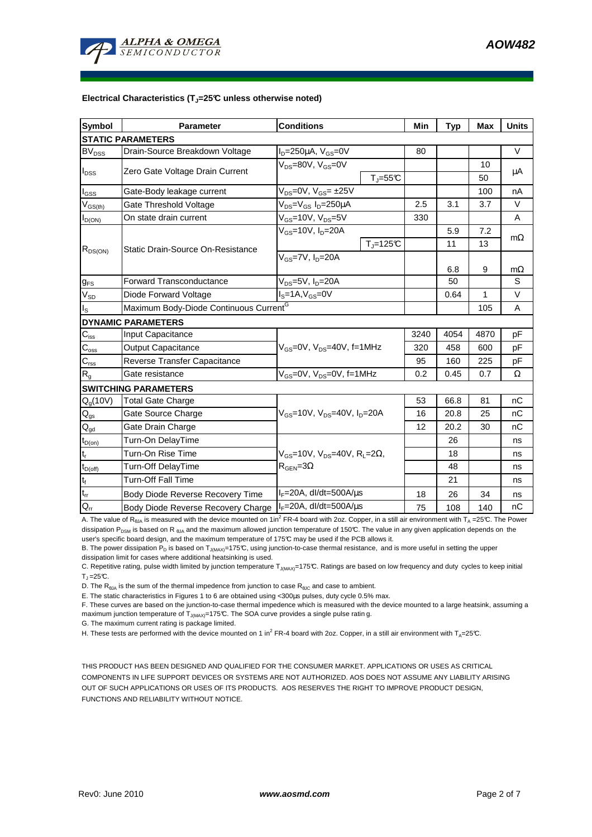#### **Electrical Characteristics (TJ=25°C unless otherwise noted)**

| Symbol                     | <b>Parameter</b>                                   | <b>Conditions</b>                                                               |                    |      | <b>Typ</b>   | Max       | <b>Units</b> |  |
|----------------------------|----------------------------------------------------|---------------------------------------------------------------------------------|--------------------|------|--------------|-----------|--------------|--|
| <b>STATIC PARAMETERS</b>   |                                                    |                                                                                 |                    |      |              |           |              |  |
| <b>BV<sub>DSS</sub></b>    | Drain-Source Breakdown Voltage                     | $I_D = 250 \mu A$ , $V_{GS} = 0V$                                               |                    | 80   |              |           | V            |  |
| $I_{DSS}$                  | Zero Gate Voltage Drain Current                    | $V_{DS}$ =80V, $V_{GS}$ =0V                                                     |                    |      |              | 10        | μA           |  |
|                            |                                                    |                                                                                 | $T_J = 55C$        |      |              | 50        |              |  |
| $I_{GS}$                   | Gate-Body leakage current                          | $V_{DS}$ =0V, $V_{GS}$ = ±25V                                                   |                    |      |              | 100       | nA           |  |
| $V_{GS(th)}$               | Gate Threshold Voltage                             | $V_{DS} = V_{GS} I_D = 250 \mu A$                                               |                    | 2.5  | 3.1          | 3.7       | $\vee$       |  |
| $I_{D(ON)}$                | On state drain current                             | $V_{GS}$ =10V, $V_{DS}$ =5V                                                     |                    | 330  |              |           | A            |  |
| $R_{DS(ON)}$               | Static Drain-Source On-Resistance                  | $V_{GS}$ =10V, $I_{D}$ =20A                                                     |                    |      | 5.9          | 7.2       | $m\Omega$    |  |
|                            |                                                    |                                                                                 | $T_{\rm J}$ =125°C |      | 11           | 13        |              |  |
|                            |                                                    | $V_{GS}$ =7V, $I_{D}$ =20A                                                      |                    |      |              |           |              |  |
|                            |                                                    |                                                                                 |                    | 6.8  | 9            | $m\Omega$ |              |  |
| $g_{FS}$                   | <b>Forward Transconductance</b>                    | $V_{DS}$ =5V, $I_D$ =20A                                                        |                    | 50   |              | S         |              |  |
| $V_{SD}$                   | Diode Forward Voltage                              | $IS=1A, VGS=0V$                                                                 |                    | 0.64 | $\mathbf{1}$ | $\vee$    |              |  |
| $I_{\rm S}$                | Maximum Body-Diode Continuous Current <sup>G</sup> |                                                                                 |                    |      |              | 105       | A            |  |
|                            | <b>DYNAMIC PARAMETERS</b>                          |                                                                                 |                    |      |              |           |              |  |
| $C_{\text{iss}}$           | Input Capacitance                                  | $V_{GS}$ =0V, $V_{DS}$ =40V, f=1MHz                                             |                    | 3240 | 4054         | 4870      | pF           |  |
| $C_{\rm oss}$              | Output Capacitance                                 |                                                                                 |                    | 320  | 458          | 600       | pF           |  |
| $C_{\text{rss}}$           | Reverse Transfer Capacitance                       |                                                                                 |                    | 95   | 160          | 225       | рF           |  |
| R <sub>g</sub>             | Gate resistance                                    | $V_{GS}$ =0V, $V_{DS}$ =0V, f=1MHz                                              |                    | 0.2  | 0.45         | 0.7       | $\Omega$     |  |
|                            | <b>SWITCHING PARAMETERS</b>                        |                                                                                 |                    |      |              |           |              |  |
| $Q_g(10V)$                 | <b>Total Gate Charge</b>                           | $V_{GS}$ =10V, $V_{DS}$ =40V, $I_{D}$ =20A                                      |                    | 53   | 66.8         | 81        | nC           |  |
| $\mathsf{Q}_{\text{gs}}$   | Gate Source Charge                                 |                                                                                 |                    | 16   | 20.8         | 25        | nC           |  |
| $\mathsf{Q}_{\mathsf{gd}}$ | Gate Drain Charge                                  |                                                                                 |                    | 12   | 20.2         | 30        | nC           |  |
| $t_{D(0n)}$                | Turn-On DelayTime                                  |                                                                                 |                    |      | 26           |           | ns           |  |
| $\mathsf{t}_\mathsf{r}$    | Turn-On Rise Time                                  | $V_{GS}$ =10V, $V_{DS}$ =40V, R <sub>L</sub> =2Ω,<br>$R_{\text{GEN}} = 3\Omega$ |                    |      | 18           |           | ns           |  |
| $t_{D(off)}$               | Turn-Off DelayTime                                 |                                                                                 |                    |      | 48           |           | ns           |  |
| $\mathbf{t}_\text{f}$      | <b>Turn-Off Fall Time</b>                          |                                                                                 |                    |      | 21           |           | ns           |  |
| $t_{rr}$                   | Body Diode Reverse Recovery Time                   | $I_F = 20A$ , dl/dt=500A/ $\mu$ s                                               |                    | 18   | 26           | 34        | ns           |  |
| $Q_{rr}$                   | Body Diode Reverse Recovery Charge                 | $IF=20A$ , dl/dt=500A/us                                                        |                    | 75   | 108          | 140       | nC           |  |

A. The value of R<sub>θJA</sub> is measured with the device mounted on 1in<sup>2</sup> FR-4 board with 2oz. Copper, in a still air environment with T<sub>A</sub> =25°C. The Power dissipation P<sub>DSM</sub> is based on R  $_{\text{BJA}}$  and the maximum allowed junction temperature of 150°C. The value in any given application depends on the user's specific board design, and the maximum temperature of 175°C may be used if the PCB allows it.

B. The power dissipation  $P_D$  is based on  $T_{J(MAY)}$ =175°C, using junction-to-case thermal resistance, and is more useful in setting the upper

dissipation limit for cases where additional heatsinking is used.

C. Repetitive rating, pulse width limited by junction temperature  $T_{J(MAX)}$ =175°C. Ratings are based on low frequency and duty cycles to keep initial  $T_1 = 25$ °C.

D. The  $R_{\theta JA}$  is the sum of the thermal impedence from junction to case  $R_{\theta JC}$  and case to ambient.

E. The static characteristics in Figures 1 to 6 are obtained using <300µs pulses, duty cycle 0.5% max.

F. These curves are based on the junction-to-case thermal impedence which is measured with the device mounted to a large heatsink, assuming a maximum junction temperature of  $T_{J(MAX)}$ =175°C. The SOA curve provides a single pulse ratin g.

G. The maximum current rating is package limited.

H. These tests are performed with the device mounted on 1 in<sup>2</sup> FR-4 board with 2oz. Copper, in a still air environment with T<sub>A</sub>=25°C.

THIS PRODUCT HAS BEEN DESIGNED AND QUALIFIED FOR THE CONSUMER MARKET. APPLICATIONS OR USES AS CRITICAL COMPONENTS IN LIFE SUPPORT DEVICES OR SYSTEMS ARE NOT AUTHORIZED. AOS DOES NOT ASSUME ANY LIABILITY ARISING OUT OF SUCH APPLICATIONS OR USES OF ITS PRODUCTS. AOS RESERVES THE RIGHT TO IMPROVE PRODUCT DESIGN, FUNCTIONS AND RELIABILITY WITHOUT NOTICE.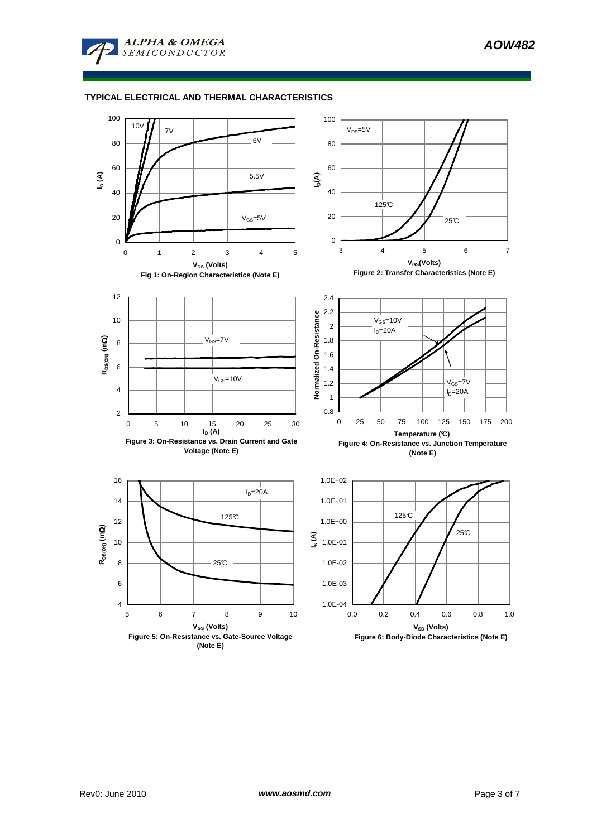

# **TYPICAL ELECTRICAL AND THERMAL CHARACTERISTICS**

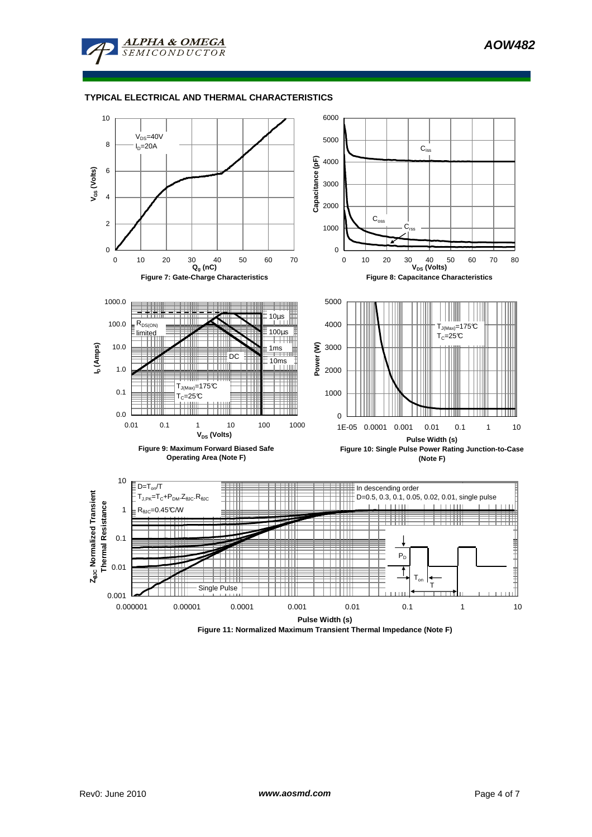

### **TYPICAL ELECTRICAL AND THERMAL CHARACTERISTICS**



**Figure 11: Normalized Maximum Transient Thermal Impedance (Note F)**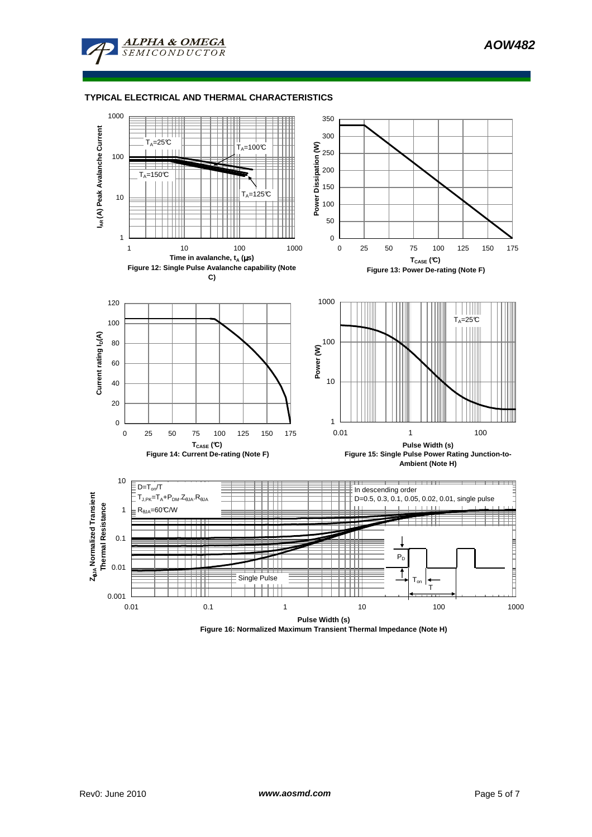**AOW482**

### **TYPICAL ELECTRICAL AND THERMAL CHARACTERISTICS**

**ALPHA & OMEGA** 

 $SEM$ 



**Figure 16: Normalized Maximum Transient Thermal Impedance (Note H)**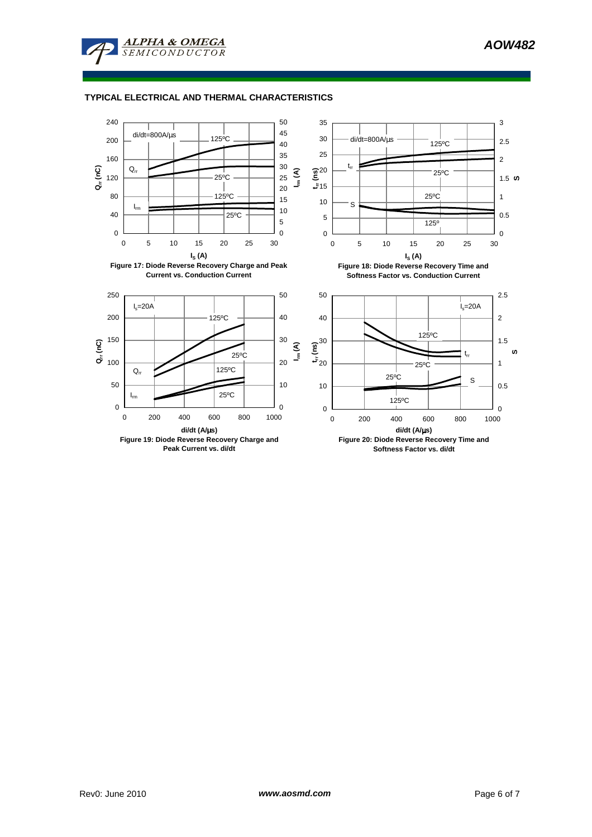

**ALPHA & OMEGA SEMICONDUCTOR**